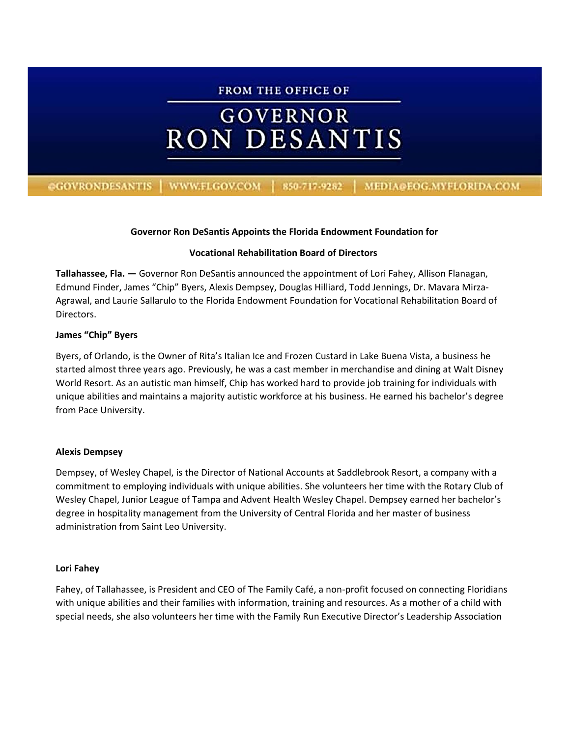# **FROM THE OFFICE OF GOVERNOR RON DESANTIS** @GOVRONDESANTIS | WWW.FLGOV.COM | 850-717-9282 | MEDIA@EOG.MYFLORIDA.COM

# **Governor Ron DeSantis Appoints the Florida Endowment Foundation for**

# **Vocational Rehabilitation Board of Directors**

**Tallahassee, Fla. —** Governor Ron DeSantis announced the appointment of Lori Fahey, Allison Flanagan, Edmund Finder, James "Chip" Byers, Alexis Dempsey, Douglas Hilliard, Todd Jennings, Dr. Mavara Mirza-Agrawal, and Laurie Sallarulo to the Florida Endowment Foundation for Vocational Rehabilitation Board of Directors.

# **James "Chip" Byers**

Byers, of Orlando, is the Owner of Rita's Italian Ice and Frozen Custard in Lake Buena Vista, a business he started almost three years ago. Previously, he was a cast member in merchandise and dining at Walt Disney World Resort. As an autistic man himself, Chip has worked hard to provide job training for individuals with unique abilities and maintains a majority autistic workforce at his business. He earned his bachelor's degree from Pace University.

# **Alexis Dempsey**

Dempsey, of Wesley Chapel, is the Director of National Accounts at Saddlebrook Resort, a company with a commitment to employing individuals with unique abilities. She volunteers her time with the Rotary Club of Wesley Chapel, Junior League of Tampa and Advent Health Wesley Chapel. Dempsey earned her bachelor's degree in hospitality management from the University of Central Florida and her master of business administration from Saint Leo University.

# **Lori Fahey**

Fahey, of Tallahassee, is President and CEO of The Family Café, a non-profit focused on connecting Floridians with unique abilities and their families with information, training and resources. As a mother of a child with special needs, she also volunteers her time with the Family Run Executive Director's Leadership Association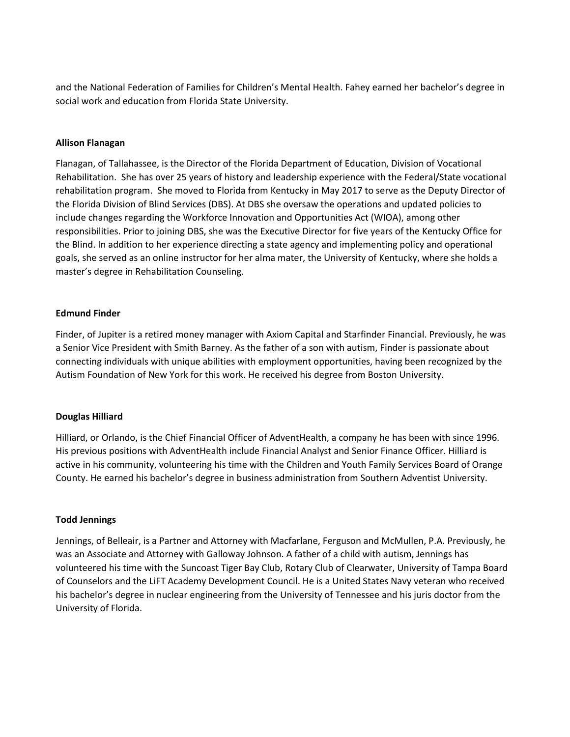and the National Federation of Families for Children's Mental Health. Fahey earned her bachelor's degree in social work and education from Florida State University.

#### **Allison Flanagan**

Flanagan, of Tallahassee, is the Director of the Florida Department of Education, Division of Vocational Rehabilitation. She has over 25 years of history and leadership experience with the Federal/State vocational rehabilitation program. She moved to Florida from Kentucky in May 2017 to serve as the Deputy Director of the Florida Division of Blind Services (DBS). At DBS she oversaw the operations and updated policies to include changes regarding the Workforce Innovation and Opportunities Act (WIOA), among other responsibilities. Prior to joining DBS, she was the Executive Director for five years of the Kentucky Office for the Blind. In addition to her experience directing a state agency and implementing policy and operational goals, she served as an online instructor for her alma mater, the University of Kentucky, where she holds a master's degree in Rehabilitation Counseling.

#### **Edmund Finder**

Finder, of Jupiter is a retired money manager with Axiom Capital and Starfinder Financial. Previously, he was a Senior Vice President with Smith Barney. As the father of a son with autism, Finder is passionate about connecting individuals with unique abilities with employment opportunities, having been recognized by the Autism Foundation of New York for this work. He received his degree from Boston University.

# **Douglas Hilliard**

Hilliard, or Orlando, is the Chief Financial Officer of AdventHealth, a company he has been with since 1996. His previous positions with AdventHealth include Financial Analyst and Senior Finance Officer. Hilliard is active in his community, volunteering his time with the Children and Youth Family Services Board of Orange County. He earned his bachelor's degree in business administration from Southern Adventist University.

#### **Todd Jennings**

Jennings, of Belleair, is a Partner and Attorney with Macfarlane, Ferguson and McMullen, P.A. Previously, he was an Associate and Attorney with Galloway Johnson. A father of a child with autism, Jennings has volunteered his time with the Suncoast Tiger Bay Club, Rotary Club of Clearwater, University of Tampa Board of Counselors and the LiFT Academy Development Council. He is a United States Navy veteran who received his bachelor's degree in nuclear engineering from the University of Tennessee and his juris doctor from the University of Florida.